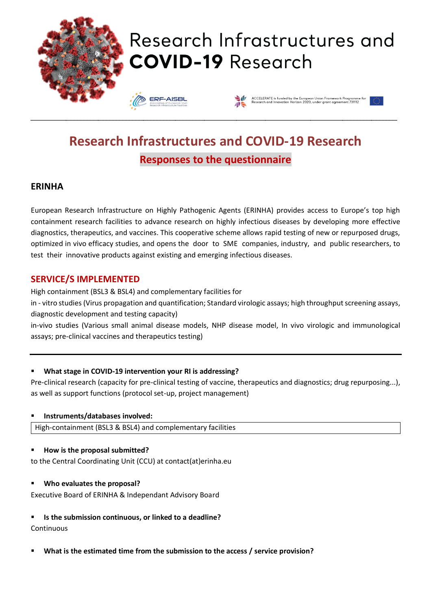

# Research Infrastructures and **COVID-19 Research**

**ERF-AISBI** 



# **Research Infrastructures and COVID-19 Research Responses to the questionnaire**

\_\_\_\_\_\_\_\_\_\_\_\_\_\_\_\_\_\_\_\_\_\_\_\_\_\_\_\_\_\_\_\_\_\_\_\_\_\_\_\_\_\_\_\_\_\_\_\_\_\_\_\_\_\_\_\_\_\_\_\_\_\_\_\_\_\_\_\_\_\_\_\_\_\_\_\_\_\_\_\_\_\_\_\_\_\_\_\_\_\_\_\_\_\_\_\_\_\_\_\_\_\_\_\_\_\_\_\_\_\_\_\_\_\_

## **ERINHA**

European Research Infrastructure on Highly Pathogenic Agents (ERINHA) provides access to Europe's top high containment research facilities to advance research on highly infectious diseases by developing more effective diagnostics, therapeutics, and vaccines. This cooperative scheme allows rapid testing of new or repurposed drugs, optimized in vivo efficacy studies, and opens the door to SME companies, industry, and public researchers, to test their innovative products against existing and emerging infectious diseases.

## **SERVICE/S IMPLEMENTED**

High containment (BSL3 & BSL4) and complementary facilities for

in - vitro studies (Virus propagation and quantification; Standard virologic assays; high throughput screening assays, diagnostic development and testing capacity)

in-vivo studies (Various small animal disease models, NHP disease model, In vivo virologic and immunological assays; pre-clinical vaccines and therapeutics testing)

### ▪ **What stage in COVID-19 intervention your RI is addressing?**

Pre-clinical research (capacity for pre-clinical testing of vaccine, therapeutics and diagnostics; drug repurposing...), as well as support functions (protocol set-up, project management)

▪ **Instruments/databases involved:**

High-containment (BSL3 & BSL4) and complementary facilities

### ▪ **How is the proposal submitted?**

to the Central Coordinating Unit (CCU) at contact(at)erinha.eu

### ▪ **Who evaluates the proposal?**

Executive Board of ERINHA & Independant Advisory Board

▪ **Is the submission continuous, or linked to a deadline?**

### **Continuous**

▪ **What is the estimated time from the submission to the access / service provision?**